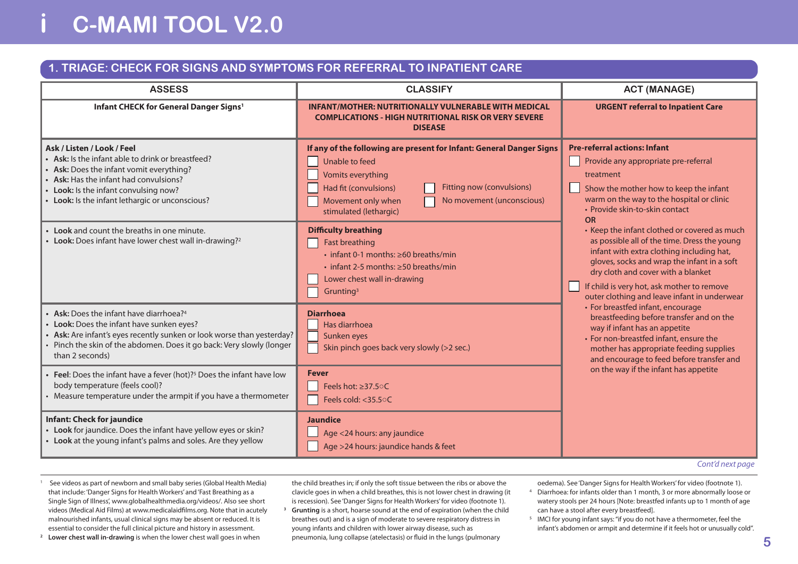# **i C-MAMI TOOL V2.0**

#### **1. TRIAGE: CHECK FOR SIGNS AND SYMPTOMS FOR REFERRAL TO INPATIENT CARE**

| <b>ASSESS</b>                                                                                                                                                                                                                                                  | <b>CLASSIFY</b>                                                                                                                                                                                                                                       | <b>ACT (MANAGE)</b>                                                                                                                                                                                                                                                                                                          |  |
|----------------------------------------------------------------------------------------------------------------------------------------------------------------------------------------------------------------------------------------------------------------|-------------------------------------------------------------------------------------------------------------------------------------------------------------------------------------------------------------------------------------------------------|------------------------------------------------------------------------------------------------------------------------------------------------------------------------------------------------------------------------------------------------------------------------------------------------------------------------------|--|
| Infant CHECK for General Danger Signs <sup>1</sup>                                                                                                                                                                                                             | <b>INFANT/MOTHER: NUTRITIONALLY VULNERABLE WITH MEDICAL</b><br><b>COMPLICATIONS - HIGH NUTRITIONAL RISK OR VERY SEVERE</b><br><b>DISEASE</b>                                                                                                          | <b>URGENT referral to Inpatient Care</b>                                                                                                                                                                                                                                                                                     |  |
| Ask / Listen / Look / Feel<br>Ask: Is the infant able to drink or breastfeed?<br>Ask: Does the infant vomit everything?<br>Ask: Has the infant had convulsions?<br>Look: Is the infant convulsing now?<br>Look: Is the infant lethargic or unconscious?        | If any of the following are present for Infant: General Danger Signs<br>Unable to feed<br>Vomits everything<br><b>Fitting now (convulsions)</b><br>Had fit (convulsions)<br>No movement (unconscious)<br>Movement only when<br>stimulated (lethargic) | <b>Pre-referral actions: Infant</b><br>Provide any appropriate pre-referral<br>treatment<br>Show the mother how to keep the infant<br>warm on the way to the hospital or clinic<br>• Provide skin-to-skin contact<br><b>OR</b>                                                                                               |  |
| Look and count the breaths in one minute.<br>Look: Does infant have lower chest wall in-drawing? <sup>2</sup>                                                                                                                                                  | <b>Difficulty breathing</b><br>Fast breathing<br>$\cdot$ infant 0-1 months: $\geq 60$ breaths/min<br>$\cdot$ infant 2-5 months: $\geq$ 50 breaths/min<br>Lower chest wall in-drawing<br>Grunting <sup>3</sup>                                         | • Keep the infant clothed or covered as much<br>as possible all of the time. Dress the young<br>infant with extra clothing including hat,<br>gloves, socks and wrap the infant in a soft<br>dry cloth and cover with a blanket<br>If child is very hot, ask mother to remove<br>outer clothing and leave infant in underwear |  |
| Ask: Does the infant have diarrhoea? <sup>4</sup><br>Look: Does the infant have sunken eyes?<br>Ask: Are infant's eyes recently sunken or look worse than yesterday?<br>Pinch the skin of the abdomen. Does it go back: Very slowly (longer<br>than 2 seconds) | <b>Diarrhoea</b><br>Has diarrhoea<br>Sunken eyes<br>Skin pinch goes back very slowly (>2 sec.)                                                                                                                                                        | • For breastfed infant, encourage<br>breastfeeding before transfer and on the<br>way if infant has an appetite<br>• For non-breastfed infant, ensure the<br>mother has appropriate feeding supplies<br>and encourage to feed before transfer and                                                                             |  |
| Feel: Does the infant have a fever (hot)? <sup>5</sup> Does the infant have low<br>body temperature (feels cool)?<br>Measure temperature under the armpit if you have a thermometer                                                                            | <b>Fever</b><br>Feels hot: ≥37.5 °C<br>Feels cold: <35.50C                                                                                                                                                                                            | on the way if the infant has appetite                                                                                                                                                                                                                                                                                        |  |
| <b>Infant: Check for jaundice</b><br>Look for jaundice. Does the infant have yellow eyes or skin?<br>Look at the young infant's palms and soles. Are they yellow                                                                                               | <b>Jaundice</b><br>Age <24 hours: any jaundice<br>Age >24 hours: jaundice hands & feet                                                                                                                                                                |                                                                                                                                                                                                                                                                                                                              |  |

*Cont'd next page*

<sup>1</sup> See videos as part of newborn and small baby series (Global Health Media) that include: 'Danger Signs for Health Workers' and'Fast Breathing as a Single Sign of Illness', www.globalhealthmedia.org/videos/. Also see short videos (Medical Aid Films) at www.medicalaidfilms.org. Note that in acutely malnourished infants, usual clinical signs may be absent or reduced. It is essential to consider the full clinical picture and history in assessment.

**<sup>2</sup> Lower chest wall in-drawing** is when the lower chest wall goes in when

the child breathes in; if only the soft tissue between the ribs or above the clavicle goes in when a child breathes, this is not lower chest in drawing (it is recession). See 'Danger Signs for Health Workers'for video (footnote 1).

- **<sup>3</sup> Grunting** is a short, hoarse sound at the end of expiration (when the child breathes out) and is a sign of moderate to severe respiratory distress in young infants and children with lower airway disease, such as pneumonia, lung collapse (atelectasis) or fluid in the lungs (pulmonary
- oedema). See 'Danger Signs for Health Workers'for video (footnote 1). <sup>4</sup> Diarrhoea: for infants older than 1 month, 3 or more abnormally loose or watery stools per 24 hours [Note: breastfed infants up to 1 month of age can have a stool after every breastfeed].
- <sup>5</sup> IMCI for young infant says: "if you do not have a thermometer, feel the infant's abdomen or armpit and determine if it feels hot or unusually cold".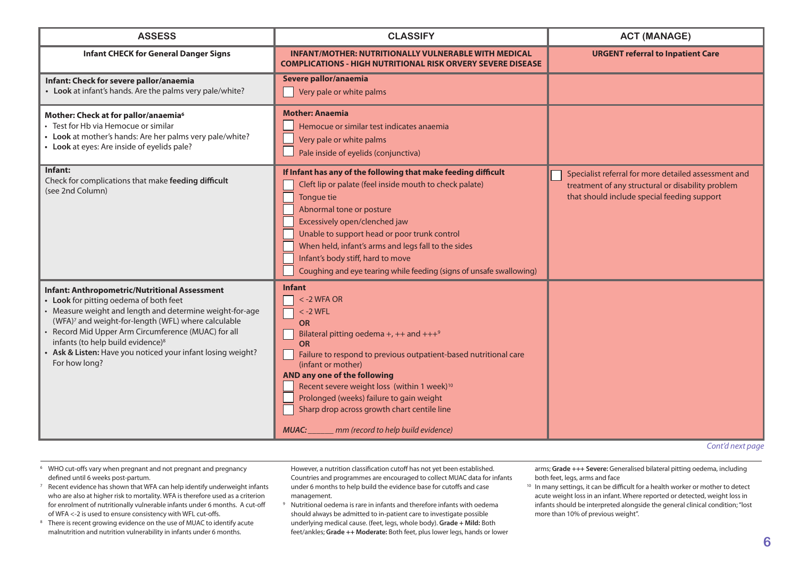| <b>Infant CHECK for General Danger Signs</b><br><b>INFANT/MOTHER: NUTRITIONALLY VULNERABLE WITH MEDICAL</b><br><b>COMPLICATIONS - HIGH NUTRITIONAL RISK ORVERY SEVERE DISEASE</b><br>Severe pallor/anaemia<br>Infant: Check for severe pallor/anaemia<br>• Look at infant's hands. Are the palms very pale/white?<br>Very pale or white palms<br><b>Mother: Anaemia</b><br>Mother: Check at for pallor/anaemia6<br>Test for Hb via Hemocue or similar<br>Hemocue or similar test indicates anaemia<br>Look at mother's hands: Are her palms very pale/white?<br>Very pale or white palms<br>Look at eyes: Are inside of eyelids pale?<br>Pale inside of eyelids (conjunctiva)<br>Infant:<br>If Infant has any of the following that make feeding difficult<br>Check for complications that make feeding difficult<br>Cleft lip or palate (feel inside mouth to check palate)<br>(see 2nd Column)<br>Tongue tie<br>Abnormal tone or posture<br>Excessively open/clenched jaw<br>Unable to support head or poor trunk control<br>When held, infant's arms and legs fall to the sides<br>Infant's body stiff, hard to move | <b>ACT (MANAGE)</b>                                                                                                                                      |  |
|-------------------------------------------------------------------------------------------------------------------------------------------------------------------------------------------------------------------------------------------------------------------------------------------------------------------------------------------------------------------------------------------------------------------------------------------------------------------------------------------------------------------------------------------------------------------------------------------------------------------------------------------------------------------------------------------------------------------------------------------------------------------------------------------------------------------------------------------------------------------------------------------------------------------------------------------------------------------------------------------------------------------------------------------------------------------------------------------------------------------------|----------------------------------------------------------------------------------------------------------------------------------------------------------|--|
|                                                                                                                                                                                                                                                                                                                                                                                                                                                                                                                                                                                                                                                                                                                                                                                                                                                                                                                                                                                                                                                                                                                         | <b>URGENT referral to Inpatient Care</b>                                                                                                                 |  |
|                                                                                                                                                                                                                                                                                                                                                                                                                                                                                                                                                                                                                                                                                                                                                                                                                                                                                                                                                                                                                                                                                                                         |                                                                                                                                                          |  |
|                                                                                                                                                                                                                                                                                                                                                                                                                                                                                                                                                                                                                                                                                                                                                                                                                                                                                                                                                                                                                                                                                                                         |                                                                                                                                                          |  |
| Coughing and eye tearing while feeding (signs of unsafe swallowing)                                                                                                                                                                                                                                                                                                                                                                                                                                                                                                                                                                                                                                                                                                                                                                                                                                                                                                                                                                                                                                                     | Specialist referral for more detailed assessment and<br>treatment of any structural or disability problem<br>that should include special feeding support |  |
| <b>Infant</b><br><b>Infant: Anthropometric/Nutritional Assessment</b><br>$<$ -2 WFA OR<br>Look for pitting oedema of both feet<br>Measure weight and length and determine weight-for-age<br>$<$ -2 WFL<br>(WFA) <sup>7</sup> and weight-for-length (WFL) where calculable<br><b>OR</b><br>Record Mid Upper Arm Circumference (MUAC) for all<br>Bilateral pitting oedema +, ++ and +++ $9$<br>infants (to help build evidence) <sup>8</sup><br>OR<br>Ask & Listen: Have you noticed your infant losing weight?<br>Failure to respond to previous outpatient-based nutritional care<br>For how long?<br>(infant or mother)<br>AND any one of the following<br>Recent severe weight loss (within 1 week) <sup>10</sup><br>Prolonged (weeks) failure to gain weight<br>Sharp drop across growth chart centile line<br>mm (record to help build evidence)<br><b>MUAC:</b>                                                                                                                                                                                                                                                    | Cont'd next page                                                                                                                                         |  |

*Cont'd next page*

- <sup>6</sup> WHO cut-offs vary when pregnant and not pregnant and pregnancy defined until 6 weeks post-partum.
- $7$  Recent evidence has shown that WFA can help identify underweight infants who are also at higher risk to mortality. WFA is therefore used as a criterion for enrolment of nutritionally vulnerable infants under 6 months. A cut-off of WFA <-2 is used to ensure consistency with WFL cut-offs.
- <sup>8</sup> There is recent growing evidence on the use of MUAC to identify acute malnutrition and nutrition vulnerability in infants under 6 months.

However, a nutrition classification cutoff has not yet been established. Countries and programmes are encouraged to collect MUAC data for infants under 6 months to help build the evidence base for cutoffs and case management.

<sup>9</sup> Nutritional oedema is rare in infants and therefore infants with oedema should always be admitted to in-patient care to investigate possible underlying medical cause. (feet, legs, whole body). **Grade + Mild:** Both feet/ankles; **Grade ++ Moderate:** Both feet, plus lower legs, hands or lower arms; **Grade +++ Severe:** Generalised bilateral pitting oedema, including both feet, legs, arms and face

<sup>10</sup> In many settings, it can be difficult for a health worker or mother to detect acute weight loss in an infant. Where reported or detected, weight loss in infants should be interpreted alongside the general clinical condition;"lost more than 10% of previous weight".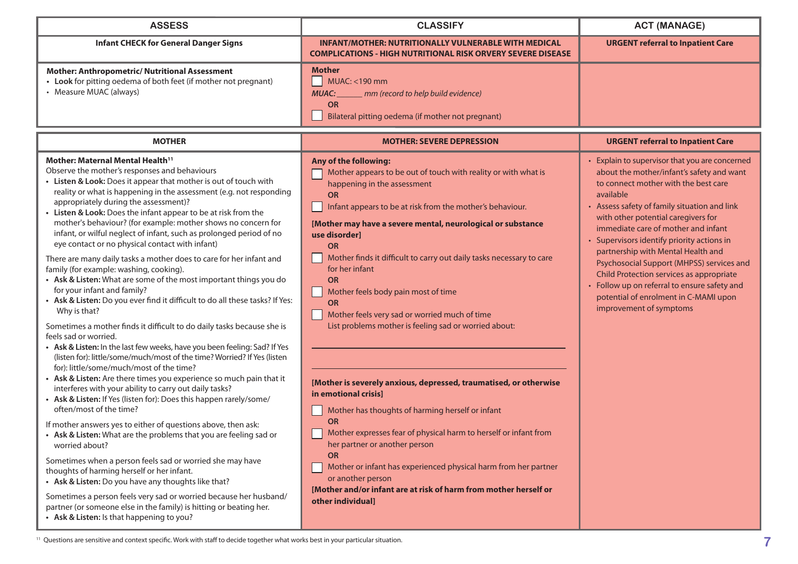| <b>ASSESS</b>                                                                                                                                                                                                                                                                                                                                                                                                                                                                                                                                                                                                                                                                                                                                                                                                                                                                                                                                                                                                                                                                                                                                                                                                                                                                                                                                                                                                                                                                                                                                                                                                                                                                                                                                                                                                                                                                                                                    | <b>CLASSIFY</b>                                                                                                                                                                                                                                                                                                                                                                                                                                                                                                                                                                                                                                                                                                                                                                                                                                                                                                                                                                                                                     | <b>ACT (MANAGE)</b>                                                                                                                                                                                                                                                                                                                                                                                                                                                                                                                                                             |
|----------------------------------------------------------------------------------------------------------------------------------------------------------------------------------------------------------------------------------------------------------------------------------------------------------------------------------------------------------------------------------------------------------------------------------------------------------------------------------------------------------------------------------------------------------------------------------------------------------------------------------------------------------------------------------------------------------------------------------------------------------------------------------------------------------------------------------------------------------------------------------------------------------------------------------------------------------------------------------------------------------------------------------------------------------------------------------------------------------------------------------------------------------------------------------------------------------------------------------------------------------------------------------------------------------------------------------------------------------------------------------------------------------------------------------------------------------------------------------------------------------------------------------------------------------------------------------------------------------------------------------------------------------------------------------------------------------------------------------------------------------------------------------------------------------------------------------------------------------------------------------------------------------------------------------|-------------------------------------------------------------------------------------------------------------------------------------------------------------------------------------------------------------------------------------------------------------------------------------------------------------------------------------------------------------------------------------------------------------------------------------------------------------------------------------------------------------------------------------------------------------------------------------------------------------------------------------------------------------------------------------------------------------------------------------------------------------------------------------------------------------------------------------------------------------------------------------------------------------------------------------------------------------------------------------------------------------------------------------|---------------------------------------------------------------------------------------------------------------------------------------------------------------------------------------------------------------------------------------------------------------------------------------------------------------------------------------------------------------------------------------------------------------------------------------------------------------------------------------------------------------------------------------------------------------------------------|
| <b>Infant CHECK for General Danger Signs</b>                                                                                                                                                                                                                                                                                                                                                                                                                                                                                                                                                                                                                                                                                                                                                                                                                                                                                                                                                                                                                                                                                                                                                                                                                                                                                                                                                                                                                                                                                                                                                                                                                                                                                                                                                                                                                                                                                     | <b>INFANT/MOTHER: NUTRITIONALLY VULNERABLE WITH MEDICAL</b><br><b>COMPLICATIONS - HIGH NUTRITIONAL RISK ORVERY SEVERE DISEASE</b>                                                                                                                                                                                                                                                                                                                                                                                                                                                                                                                                                                                                                                                                                                                                                                                                                                                                                                   | <b>URGENT referral to Inpatient Care</b>                                                                                                                                                                                                                                                                                                                                                                                                                                                                                                                                        |
| <b>Mother: Anthropometric/ Nutritional Assessment</b><br>• Look for pitting oedema of both feet (if mother not pregnant)<br>• Measure MUAC (always)                                                                                                                                                                                                                                                                                                                                                                                                                                                                                                                                                                                                                                                                                                                                                                                                                                                                                                                                                                                                                                                                                                                                                                                                                                                                                                                                                                                                                                                                                                                                                                                                                                                                                                                                                                              | <b>Mother</b><br>MUAC: <190 mm<br>- 1<br>MUAC:<br>mm (record to help build evidence)<br><b>OR</b><br>Bilateral pitting oedema (if mother not pregnant)                                                                                                                                                                                                                                                                                                                                                                                                                                                                                                                                                                                                                                                                                                                                                                                                                                                                              |                                                                                                                                                                                                                                                                                                                                                                                                                                                                                                                                                                                 |
| <b>MOTHER</b>                                                                                                                                                                                                                                                                                                                                                                                                                                                                                                                                                                                                                                                                                                                                                                                                                                                                                                                                                                                                                                                                                                                                                                                                                                                                                                                                                                                                                                                                                                                                                                                                                                                                                                                                                                                                                                                                                                                    | <b>MOTHER: SEVERE DEPRESSION</b>                                                                                                                                                                                                                                                                                                                                                                                                                                                                                                                                                                                                                                                                                                                                                                                                                                                                                                                                                                                                    | <b>URGENT referral to Inpatient Care</b>                                                                                                                                                                                                                                                                                                                                                                                                                                                                                                                                        |
| Mother: Maternal Mental Health <sup>11</sup><br>Observe the mother's responses and behaviours<br>• Listen & Look: Does it appear that mother is out of touch with<br>reality or what is happening in the assessment (e.g. not responding<br>appropriately during the assessment)?<br>• Listen & Look: Does the infant appear to be at risk from the<br>mother's behaviour? (for example: mother shows no concern for<br>infant, or wilful neglect of infant, such as prolonged period of no<br>eye contact or no physical contact with infant)<br>There are many daily tasks a mother does to care for her infant and<br>family (for example: washing, cooking).<br>• Ask & Listen: What are some of the most important things you do<br>for your infant and family?<br>• Ask & Listen: Do you ever find it difficult to do all these tasks? If Yes:<br>Why is that?<br>Sometimes a mother finds it difficult to do daily tasks because she is<br>feels sad or worried.<br>• Ask & Listen: In the last few weeks, have you been feeling: Sad? If Yes<br>(listen for): little/some/much/most of the time? Worried? If Yes (listen<br>for): little/some/much/most of the time?<br>• Ask & Listen: Are there times you experience so much pain that it<br>interferes with your ability to carry out daily tasks?<br>• Ask & Listen: If Yes (listen for): Does this happen rarely/some/<br>often/most of the time?<br>If mother answers yes to either of questions above, then ask:<br>• Ask & Listen: What are the problems that you are feeling sad or<br>worried about?<br>Sometimes when a person feels sad or worried she may have<br>thoughts of harming herself or her infant.<br>• Ask & Listen: Do you have any thoughts like that?<br>Sometimes a person feels very sad or worried because her husband/<br>partner (or someone else in the family) is hitting or beating her.<br>• Ask & Listen: Is that happening to you? | Any of the following:<br>Mother appears to be out of touch with reality or with what is<br>happening in the assessment<br><b>OR</b><br>Infant appears to be at risk from the mother's behaviour.<br>[Mother may have a severe mental, neurological or substance<br>use disorder]<br><b>OR</b><br>Mother finds it difficult to carry out daily tasks necessary to care<br>for her infant<br><b>OR</b><br>Mother feels body pain most of time<br><b>OR</b><br>Mother feels very sad or worried much of time<br>List problems mother is feeling sad or worried about:<br>[Mother is severely anxious, depressed, traumatised, or otherwise<br>in emotional crisisl<br>Mother has thoughts of harming herself or infant<br><b>OR</b><br>Mother expresses fear of physical harm to herself or infant from<br>her partner or another person<br><b>OR</b><br>Mother or infant has experienced physical harm from her partner<br>or another person<br>[Mother and/or infant are at risk of harm from mother herself or<br>other individual] | • Explain to supervisor that you are concerned<br>about the mother/infant's safety and want<br>to connect mother with the best care<br>available<br>• Assess safety of family situation and link<br>with other potential caregivers for<br>immediate care of mother and infant<br>• Supervisors identify priority actions in<br>partnership with Mental Health and<br>Psychosocial Support (MHPSS) services and<br>Child Protection services as appropriate<br>• Follow up on referral to ensure safety and<br>potential of enrolment in C-MAMI upon<br>improvement of symptoms |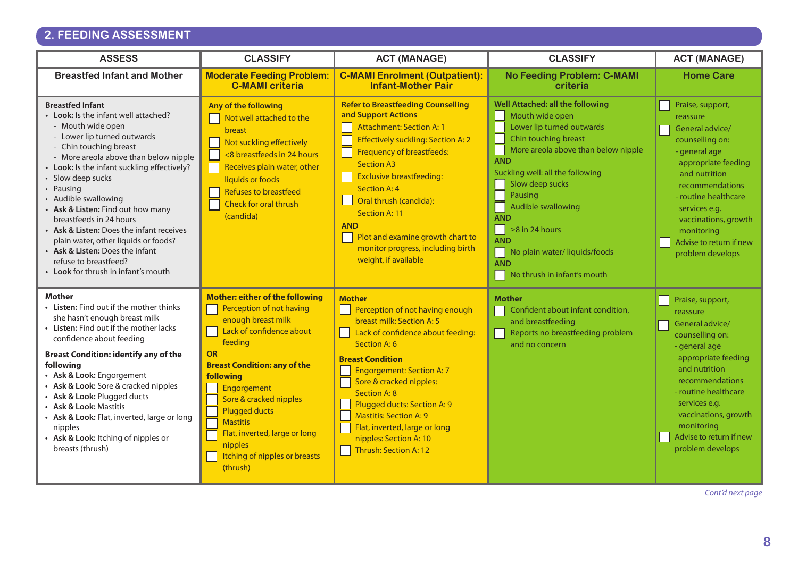## **2. FEEDING ASSESSMENT**

| <b>ASSESS</b>                                                                                                                                                                                                                                                                                                                                                                                                                                                                                                                                          | <b>CLASSIFY</b>                                                                                                                                                                                                                                                                                                                                                               | <b>ACT (MANAGE)</b>                                                                                                                                                                                                                                                                                                                                                                                                    | <b>CLASSIFY</b>                                                                                                                                                                                                                                                                                                                                                                         | <b>ACT (MANAGE)</b>                                                                                                                                                                                                                                                          |
|--------------------------------------------------------------------------------------------------------------------------------------------------------------------------------------------------------------------------------------------------------------------------------------------------------------------------------------------------------------------------------------------------------------------------------------------------------------------------------------------------------------------------------------------------------|-------------------------------------------------------------------------------------------------------------------------------------------------------------------------------------------------------------------------------------------------------------------------------------------------------------------------------------------------------------------------------|------------------------------------------------------------------------------------------------------------------------------------------------------------------------------------------------------------------------------------------------------------------------------------------------------------------------------------------------------------------------------------------------------------------------|-----------------------------------------------------------------------------------------------------------------------------------------------------------------------------------------------------------------------------------------------------------------------------------------------------------------------------------------------------------------------------------------|------------------------------------------------------------------------------------------------------------------------------------------------------------------------------------------------------------------------------------------------------------------------------|
| <b>Breastfed Infant and Mother</b>                                                                                                                                                                                                                                                                                                                                                                                                                                                                                                                     | <b>Moderate Feeding Problem:</b><br><b>C-MAMI criteria</b>                                                                                                                                                                                                                                                                                                                    | <b>C-MAMI Enrolment (Outpatient):</b><br><b>Infant-Mother Pair</b>                                                                                                                                                                                                                                                                                                                                                     | <b>No Feeding Problem: C-MAMI</b><br>criteria                                                                                                                                                                                                                                                                                                                                           | <b>Home Care</b>                                                                                                                                                                                                                                                             |
| <b>Breastfed Infant</b><br>• Look: Is the infant well attached?<br>- Mouth wide open<br>- Lower lip turned outwards<br>- Chin touching breast<br>- More areola above than below nipple<br>• Look: Is the infant suckling effectively?<br>• Slow deep sucks<br>• Pausing<br>• Audible swallowing<br>• Ask & Listen: Find out how many<br>breastfeeds in 24 hours<br>• Ask & Listen: Does the infant receives<br>plain water, other liquids or foods?<br>• Ask & Listen: Does the infant<br>refuse to breastfeed?<br>• Look for thrush in infant's mouth | Any of the following<br>Not well attached to the<br>breast<br>Not suckling effectively<br><8 breastfeeds in 24 hours<br>Receives plain water, other<br>liquids or foods<br><b>Refuses to breastfeed</b><br>Check for oral thrush<br>(candida)                                                                                                                                 | <b>Refer to Breastfeeding Counselling</b><br>and Support Actions<br><b>Attachment: Section A: 1</b><br>Effectively suckling: Section A: 2<br><b>Frequency of breastfeeds:</b><br><b>Section A3</b><br><b>Exclusive breastfeeding:</b><br><b>Section A: 4</b><br>Oral thrush (candida):<br>Section A: 11<br><b>AND</b><br>Plot and examine growth chart to<br>monitor progress, including birth<br>weight, if available | Well Attached: all the following<br>Mouth wide open<br>Lower lip turned outwards<br>Chin touching breast<br>More areola above than below nipple<br><b>AND</b><br>Suckling well: all the following<br>Slow deep sucks<br>Pausing<br>Audible swallowing<br><b>AND</b><br>$\geq$ 8 in 24 hours<br><b>AND</b><br>No plain water/ liquids/foods<br><b>AND</b><br>No thrush in infant's mouth | Praise, support,<br>reassure<br>General advice/<br>counselling on:<br>- general age<br>appropriate feeding<br>and nutrition<br>recommendations<br>- routine healthcare<br>services e.g.<br>vaccinations, growth<br>monitoring<br>Advise to return if new<br>problem develops |
| <b>Mother</b><br>• Listen: Find out if the mother thinks<br>she hasn't enough breast milk<br>• Listen: Find out if the mother lacks<br>confidence about feeding<br><b>Breast Condition: identify any of the</b><br>following<br>• Ask & Look: Engorgement<br>• Ask & Look: Sore & cracked nipples<br>• Ask & Look: Plugged ducts<br>• Ask & Look: Mastitis<br>• Ask & Look: Flat, inverted, large or long<br>nipples<br>• Ask & Look: Itching of nipples or<br>breasts (thrush)                                                                        | Mother: either of the following<br>Perception of not having<br>enough breast milk<br>Lack of confidence about<br>feeding<br><b>OR</b><br><b>Breast Condition: any of the</b><br><b>following</b><br>Engorgement<br>Sore & cracked nipples<br><b>Plugged ducts</b><br><b>Mastitis</b><br>Flat, inverted, large or long<br>nipples<br>Itching of nipples or breasts<br>(thrush) | <b>Mother</b><br>Perception of not having enough<br>breast milk: Section A: 5<br>Lack of confidence about feeding:<br>Section A: 6<br><b>Breast Condition</b><br><b>Engorgement: Section A: 7</b><br>Sore & cracked nipples:<br><b>Section A: 8</b><br>Plugged ducts: Section A: 9<br><b>Mastitis: Section A: 9</b><br>Flat, inverted, large or long<br>nipples: Section A: 10<br><b>Thrush: Section A: 12</b>         | <b>Mother</b><br>Confident about infant condition,<br>and breastfeeding<br>Reports no breastfeeding problem<br>and no concern                                                                                                                                                                                                                                                           | Praise, support,<br>reassure<br>General advice/<br>counselling on:<br>- general age<br>appropriate feeding<br>and nutrition<br>recommendations<br>- routine healthcare<br>services e.g.<br>vaccinations, growth<br>monitoring<br>Advise to return if new<br>problem develops |

*Cont'd next page*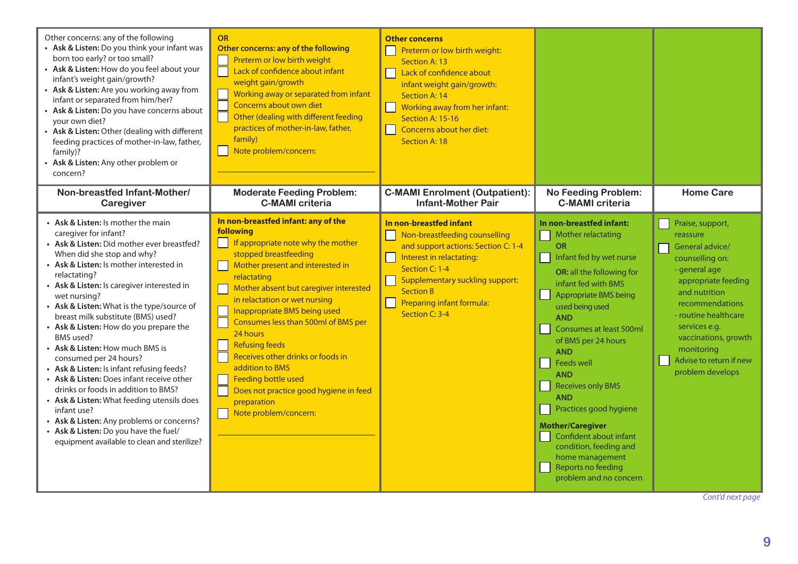| Other concerns: any of the following<br>• Ask & Listen: Do you think your infant was<br>born too early? or too small?<br>• Ask & Listen: How do you feel about your<br>infant's weight gain/growth?<br>• Ask & Listen: Are you working away from<br>infant or separated from him/her?<br>• Ask & Listen: Do you have concerns about<br>your own diet?<br>• Ask & Listen: Other (dealing with different<br>feeding practices of mother-in-law, father,<br>family)?<br>• Ask & Listen: Any other problem or<br>concern?                                                                                                                                                                                                                                                                                       | <b>OR</b><br>Other concerns: any of the following<br>Preterm or low birth weight<br>Lack of confidence about infant<br>weight gain/growth<br>Working away or separated from infant<br>Concerns about own diet<br>Other (dealing with different feeding<br>practices of mother-in-law, father,<br>family)<br>Note problem/concern:                                                                                                                                                                                                                 | <b>Other concerns</b><br>Preterm or low birth weight:<br>Section A: 13<br>Lack of confidence about<br>infant weight gain/growth:<br>Section A: 14<br>Working away from her infant:<br>Section A: 15-16<br>Concerns about her diet:<br>Section A: 18        |                                                                                                                                                                                                                                                                                                                                                                                                                                                                                                                               |                                                                                                                                                                                                                                                                              |
|-------------------------------------------------------------------------------------------------------------------------------------------------------------------------------------------------------------------------------------------------------------------------------------------------------------------------------------------------------------------------------------------------------------------------------------------------------------------------------------------------------------------------------------------------------------------------------------------------------------------------------------------------------------------------------------------------------------------------------------------------------------------------------------------------------------|---------------------------------------------------------------------------------------------------------------------------------------------------------------------------------------------------------------------------------------------------------------------------------------------------------------------------------------------------------------------------------------------------------------------------------------------------------------------------------------------------------------------------------------------------|------------------------------------------------------------------------------------------------------------------------------------------------------------------------------------------------------------------------------------------------------------|-------------------------------------------------------------------------------------------------------------------------------------------------------------------------------------------------------------------------------------------------------------------------------------------------------------------------------------------------------------------------------------------------------------------------------------------------------------------------------------------------------------------------------|------------------------------------------------------------------------------------------------------------------------------------------------------------------------------------------------------------------------------------------------------------------------------|
| Non-breastfed Infant-Mother/<br>Caregiver                                                                                                                                                                                                                                                                                                                                                                                                                                                                                                                                                                                                                                                                                                                                                                   | <b>Moderate Feeding Problem:</b><br><b>C-MAMI</b> criteria                                                                                                                                                                                                                                                                                                                                                                                                                                                                                        | <b>C-MAMI Enrolment (Outpatient):</b><br><b>Infant-Mother Pair</b>                                                                                                                                                                                         | <b>No Feeding Problem:</b><br><b>C-MAMI</b> criteria                                                                                                                                                                                                                                                                                                                                                                                                                                                                          | <b>Home Care</b>                                                                                                                                                                                                                                                             |
| • Ask & Listen: Is mother the main<br>caregiver for infant?<br>• Ask & Listen: Did mother ever breastfed?<br>When did she stop and why?<br>• Ask & Listen: Is mother interested in<br>relactating?<br>• Ask & Listen: Is caregiver interested in<br>wet nursing?<br>• Ask & Listen: What is the type/source of<br>breast milk substitute (BMS) used?<br>• Ask & Listen: How do you prepare the<br>BMS used?<br>• Ask & Listen: How much BMS is<br>consumed per 24 hours?<br>• Ask & Listen: Is infant refusing feeds?<br>• Ask & Listen: Does infant receive other<br>drinks or foods in addition to BMS?<br>• Ask & Listen: What feeding utensils does<br>infant use?<br>• Ask & Listen: Any problems or concerns?<br>• Ask & Listen: Do you have the fuel/<br>equipment available to clean and sterilize? | In non-breastfed infant: any of the<br>following<br>If appropriate note why the mother<br>$\mathbf{r}$<br>stopped breastfeeding<br>Mother present and interested in<br>relactating<br>Mother absent but caregiver interested<br>in relactation or wet nursing<br>Inappropriate BMS being used<br>Consumes less than 500ml of BMS per<br>24 hours<br><b>Refusing feeds</b><br>Receives other drinks or foods in<br>addition to BMS<br><b>Feeding bottle used</b><br>Does not practice good hygiene in feed<br>preparation<br>Note problem/concern: | In non-breastfed infant<br>Non-breastfeeding counselling<br>and support actions: Section C: 1-4<br>Interest in relactating:<br>Section C: 1-4<br><b>Supplementary suckling support:</b><br><b>Section B</b><br>Preparing infant formula:<br>Section C: 3-4 | In non-breastfed infant:<br>Mother relactating<br><b>OR</b><br>Infant fed by wet nurse<br>l 1<br>OR: all the following for<br>infant fed with BMS<br>Appropriate BMS being<br>used being used<br><b>AND</b><br><b>Consumes at least 500ml</b><br>of BMS per 24 hours<br><b>AND</b><br>Feeds well<br><b>AND</b><br>Receives only BMS<br><b>AND</b><br>Practices good hygiene<br><b>Mother/Caregiver</b><br>Confident about infant<br>condition, feeding and<br>home management<br>Reports no feeding<br>problem and no concern | Praise, support,<br>reassure<br>General advice/<br>counselling on:<br>- general age<br>appropriate feeding<br>and nutrition<br>recommendations<br>- routine healthcare<br>services e.g.<br>vaccinations, growth<br>monitoring<br>Advise to return if new<br>problem develops |

*Cont'd next page*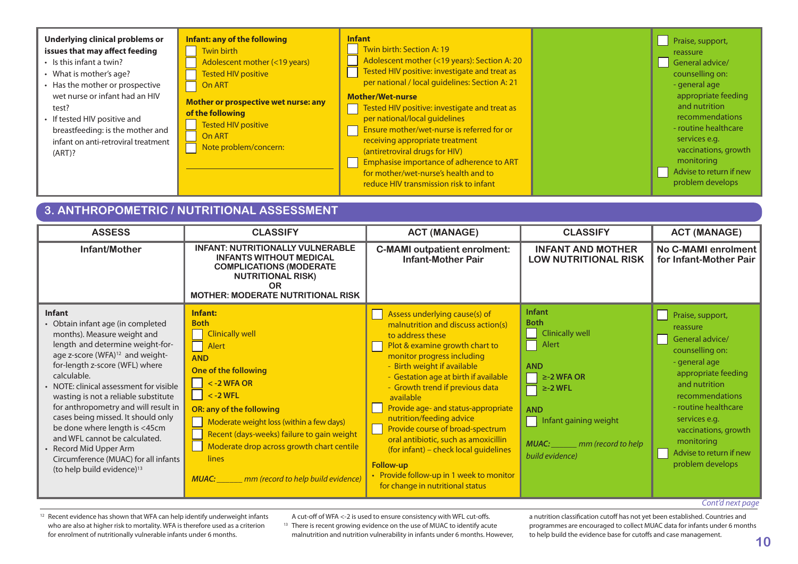

### **3. ANTHROPOMETRIC / NUTRITIONAL ASSESSMENT**

| <b>ASSESS</b>                                                                                                                                                                                                                                                                                                                                                                                                                                                                                                                                                 | <b>CLASSIFY</b>                                                                                                                                                                                                                                                                                                                                                       | <b>ACT (MANAGE)</b>                                                                                                                                                                                                                                                                                                                                                                                                                                                                                                                                                         | <b>CLASSIFY</b>                                                                                                                                                                                                          | <b>ACT (MANAGE)</b>                                                                                                                                                                                                                                                          |
|---------------------------------------------------------------------------------------------------------------------------------------------------------------------------------------------------------------------------------------------------------------------------------------------------------------------------------------------------------------------------------------------------------------------------------------------------------------------------------------------------------------------------------------------------------------|-----------------------------------------------------------------------------------------------------------------------------------------------------------------------------------------------------------------------------------------------------------------------------------------------------------------------------------------------------------------------|-----------------------------------------------------------------------------------------------------------------------------------------------------------------------------------------------------------------------------------------------------------------------------------------------------------------------------------------------------------------------------------------------------------------------------------------------------------------------------------------------------------------------------------------------------------------------------|--------------------------------------------------------------------------------------------------------------------------------------------------------------------------------------------------------------------------|------------------------------------------------------------------------------------------------------------------------------------------------------------------------------------------------------------------------------------------------------------------------------|
| Infant/Mother                                                                                                                                                                                                                                                                                                                                                                                                                                                                                                                                                 | <b>INFANT: NUTRITIONALLY VULNERABLE</b><br><b>INFANTS WITHOUT MEDICAL</b><br><b>COMPLICATIONS (MODERATE</b><br><b>NUTRITIONAL RISK)</b><br><b>OR</b><br><b>MOTHER: MODERATE NUTRITIONAL RISK</b>                                                                                                                                                                      | <b>C-MAMI outpatient enrolment:</b><br><b>Infant-Mother Pair</b>                                                                                                                                                                                                                                                                                                                                                                                                                                                                                                            | <b>INFANT AND MOTHER</b><br><b>LOW NUTRITIONAL RISK</b>                                                                                                                                                                  | No C-MAMI enrolment<br>for Infant-Mother Pair                                                                                                                                                                                                                                |
| Infant<br>• Obtain infant age (in completed<br>months). Measure weight and<br>length and determine weight-for-<br>age z-score (WFA) <sup>12</sup> and weight-<br>for-length z-score (WFL) where<br>calculable.<br>• NOTE: clinical assessment for visible<br>wasting is not a reliable substitute<br>for anthropometry and will result in<br>cases being missed. It should only<br>be done where length is <45cm<br>and WFL cannot be calculated.<br>• Record Mid Upper Arm<br>Circumference (MUAC) for all infants<br>(to help build evidence) <sup>13</sup> | Infant:<br><b>Both</b><br><b>Clinically well</b><br>Ξ<br>Alert<br><b>AND</b><br>One of the following<br>$<$ -2 WFA OR<br>$< -2$ WFL<br>OR: any of the following<br>Moderate weight loss (within a few days)<br>Recent (days-weeks) failure to gain weight<br>Moderate drop across growth chart centile<br>lines<br>mm (record to help build evidence)<br><b>MUAC:</b> | Assess underlying cause(s) of<br>malnutrition and discuss action(s)<br>to address these<br>Plot & examine growth chart to<br>monitor progress including<br>- Birth weight if available<br>- Gestation age at birth if available<br>- Growth trend if previous data<br>available<br>Provide age- and status-appropriate<br>nutrition/feeding advice<br>Provide course of broad-spectrum<br>oral antibiotic, such as amoxicillin<br>(for infant) – check local guidelines<br><b>Follow-up</b><br>• Provide follow-up in 1 week to monitor<br>for change in nutritional status | <b>Infant</b><br><b>Both</b><br><b>Clinically well</b><br>Alert<br><b>AND</b><br>$\ge$ -2 WFA OR<br>- 11<br>$\ge$ -2 WFL<br><b>AND</b><br>Infant gaining weight<br><b>MUAC:</b><br>mm (record to help<br>build evidence) | Praise, support,<br>reassure<br>General advice/<br>counselling on:<br>- general age<br>appropriate feeding<br>and nutrition<br>recommendations<br>- routine healthcare<br>services e.g.<br>vaccinations, growth<br>monitoring<br>Advise to return if new<br>problem develops |

#### *Cont'd next page*

<sup>12</sup> Recent evidence has shown that WFA can help identify underweight infants who are also at higher risk to mortality. WFA is therefore used as a criterion for enrolment of nutritionally vulnerable infants under 6 months.

A cut-off of WFA <-2 is used to ensure consistency with WFL cut-offs. <sup>13</sup> There is recent growing evidence on the use of MUAC to identify acute malnutrition and nutrition vulnerability in infants under 6 months. However, a nutrition classification cutoff has not yet been established. Countries and programmes are encouraged to collect MUAC data for infants under 6 months to help build the evidence base for cutoffs and case management.